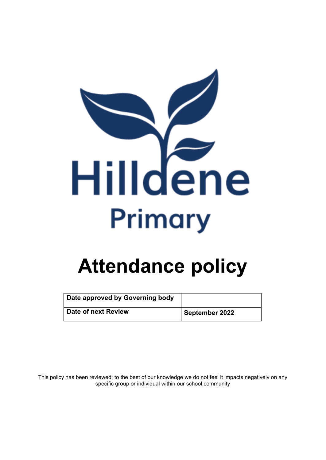

| Date approved by Governing body |                |
|---------------------------------|----------------|
| Date of next Review             | September 2022 |

This policy has been reviewed; to the best of our knowledge we do not feel it impacts negatively on any specific group or individual within our school community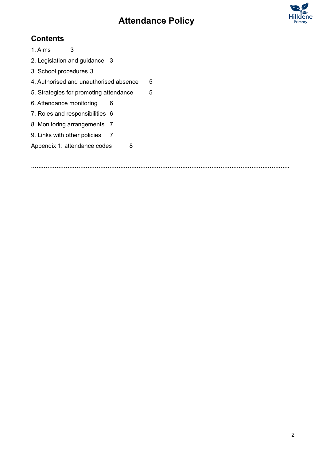

## **Contents**

1. Aims [3](#page-2-0)

- 2. Legislation and guidance [3](#page-2-1)
- 3. School procedures [3](#page-2-2)
- 4. Authorised and unauthorised absence [5](#page-4-0)
- [5](#page-4-1). Strategies for promoting attendance 5
- 6. Attendance monitoring [6](#page-5-0)
- 7. Roles and responsibilities [6](#page-5-1)
- 8. Monitoring arrangements [7](#page-6-0)
- 9. Links with other policies [7](#page-6-1)
- Appendix 1: attendance codes [8](#page-7-0)

**…………………………………………………………………………………………………………………………….**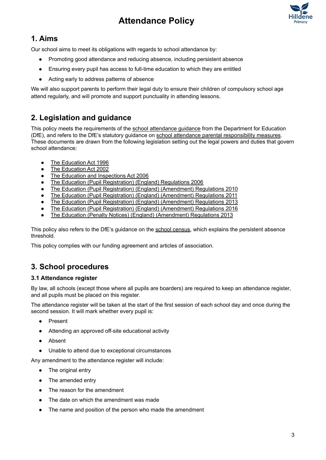

## <span id="page-2-0"></span>**1. Aims**

Our school aims to meet its obligations with regards to school attendance by:

- Promoting good attendance and reducing absence, including persistent absence
- Ensuring every pupil has access to full-time education to which they are entitled
- Acting early to address patterns of absence

<span id="page-2-1"></span>We will also support parents to perform their legal duty to ensure their children of compulsory school age attend regularly, and will promote and support punctuality in attending lessons.

## **2. Legislation and guidance**

This policy meets the requirements of the school [attendance](https://www.gov.uk/government/publications/school-attendance) guidance from the Department for Education (DfE), and refers to the DfE's statutory guidance on school attendance parental [responsibility](https://www.gov.uk/government/publications/parental-responsibility-measures-for-behaviour-and-attendance) measures. These documents are drawn from the following legislation setting out the legal powers and duties that govern school attendance:

- The [Education](https://www.legislation.gov.uk/ukpga/1996/56/part/VI/chapter/II) Act 1996
- The [Education](http://www.legislation.gov.uk/ukpga/2002/32/part/3/chapter/3) Act 2002
- The Education and [Inspections](http://www.legislation.gov.uk/ukpga/2006/40/part/7/chapter/2/crossheading/school-attendance) Act 2006
- The Education (Pupil [Registration\)](http://www.legislation.gov.uk/uksi/2006/1751/contents/made) (England) Regulations 2006
- The Education (Pupil Registration) (England) [\(Amendment\)](http://www.centralbedfordshire.gov.uk/Images/amendment-regulation-2010_tcm3-8642.pdf) Regulations 2010
- The Education (Pupil Registration) (England) [\(Amendment\)](http://www.legislation.gov.uk/uksi/2011/1625/made) Regulations 2011
- The Education (Pupil Registration) (England) [\(Amendment\)](http://www.legislation.gov.uk/uksi/2013/756/made) Regulations 2013
- The Education (Pupil Registration) (England) [\(Amendment\)](http://legislation.data.gov.uk/uksi/2016/792/made/data.html) Regulations 2016
- The Education (Penalty Notices) (England) [\(Amendment\)](http://www.legislation.gov.uk/uksi/2013/756/pdfs/uksiem_20130756_en.pdf) Regulations 2013

This policy also refers to the DfE's guidance on the school [census,](https://www.gov.uk/government/publications/school-census-2017-to-2018-guide-for-schools-and-las) which explains the persistent absence threshold.

<span id="page-2-2"></span>This policy complies with our funding agreement and articles of association.

## **3. School procedures**

#### **3.1 Attendance register**

By law, all schools (except those where all pupils are boarders) are required to keep an attendance register, and all pupils must be placed on this register.

The attendance register will be taken at the start of the first session of each school day and once during the second session. It will mark whether every pupil is:

- Present
- Attending an approved off-site educational activity
- Absent
- Unable to attend due to exceptional circumstances

Any amendment to the attendance register will include:

- The original entry
- The amended entry
- The reason for the amendment
- The date on which the amendment was made
- The name and position of the person who made the amendment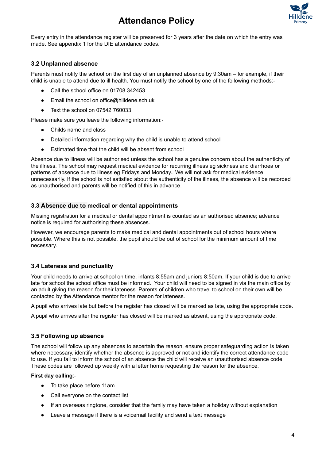

Every entry in the attendance register will be preserved for 3 years after the date on which the entry was made. See appendix 1 for the DfE attendance codes.

#### **3.2 Unplanned absence**

Parents must notify the school on the first day of an unplanned absence by 9:30am – for example, if their child is unable to attend due to ill health. You must notify the school by one of the following methods:-

- Call the school office on 01708 342453
- Email the school on [office@hilldene.sch.uk](mailto:office@hilldene.sch.uk)
- Text the school on 07542 760033

Please make sure you leave the following information:-

- Childs name and class
- Detailed information regarding why the child is unable to attend school
- Estimated time that the child will be absent from school

Absence due to illness will be authorised unless the school has a genuine concern about the authenticity of the illness. The school may request medical evidence for recurring illness eg sickness and diarrhoea or patterns of absence due to illness eg Fridays and Monday.. We will not ask for medical evidence unnecessarily. If the school is not satisfied about the authenticity of the illness, the absence will be recorded as unauthorised and parents will be notified of this in advance.

#### **3.3 Absence due to medical or dental appointments**

Missing registration for a medical or dental appointment is counted as an authorised absence; advance notice is required for authorising these absences.

However, we encourage parents to make medical and dental appointments out of school hours where possible. Where this is not possible, the pupil should be out of school for the minimum amount of time necessary.

#### **3.4 Lateness and punctuality**

Your child needs to arrive at school on time, infants 8:55am and juniors 8:50am. If your child is due to arrive late for school the school office must be informed. Your child will need to be signed in via the main office by an adult giving the reason for their lateness. Parents of children who travel to school on their own will be contacted by the Attendance mentor for the reason for lateness.

A pupil who arrives late but before the register has closed will be marked as late, using the appropriate code.

A pupil who arrives after the register has closed will be marked as absent, using the appropriate code.

#### **3.5 Following up absence**

The school will follow up any absences to ascertain the reason, ensure proper safeguarding action is taken where necessary, identify whether the absence is approved or not and identify the correct attendance code to use. If you fail to inform the school of an absence the child will receive an unauthorised absence code. These codes are followed up weekly with a letter home requesting the reason for the absence.

#### **First day calling**:-

- To take place before 11am
- Call everyone on the contact list
- If an overseas ringtone, consider that the family may have taken a holiday without explanation
- Leave a message if there is a voicemail facility and send a text message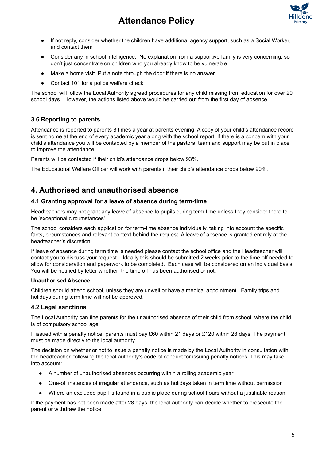

- If not reply, consider whether the children have additional agency support, such as a Social Worker, and contact them
- Consider any in school intelligence. No explanation from a supportive family is very concerning, so don't just concentrate on children who you already know to be vulnerable
- Make a home visit. Put a note through the door if there is no answer
- Contact 101 for a police welfare check

The school will follow the Local Authority agreed procedures for any child missing from education for over 20 school days. However, the actions listed above would be carried out from the first day of absence.

#### **3.6 Reporting to parents**

Attendance is reported to parents 3 times a year at parents evening. A copy of your child's attendance record is sent home at the end of every academic year along with the school report. If there is a concern with your child's attendance you will be contacted by a member of the pastoral team and support may be put in place to improve the attendance.

Parents will be contacted if their child's attendance drops below 93%.

<span id="page-4-0"></span>The Educational Welfare Officer will work with parents if their child's attendance drops below 90%.

## **4. Authorised and unauthorised absence**

#### **4.1 Granting approval for a leave of absence during term-time**

Headteachers may not grant any leave of absence to pupils during term time unless they consider there to be 'exceptional circumstances'.

The school considers each application for term-time absence individually, taking into account the specific facts, circumstances and relevant context behind the request. A leave of absence is granted entirely at the headteacher's discretion.

If leave of absence during term time is needed please contact the school office and the Headteacher will contact you to discuss your request . Ideally this should be submitted 2 weeks prior to the time off needed to allow for consideration and paperwork to be completed. Each case will be considered on an individual basis. You will be notified by letter whether the time off has been authorised or not.

#### **Unauthorised Absence**

Children should attend school, unless they are unwell or have a medical appointment. Family trips and holidays during term time will not be approved.

#### **4.2 Legal sanctions**

The Local Authority can fine parents for the unauthorised absence of their child from school, where the child is of compulsory school age.

If issued with a penalty notice, parents must pay £60 within 21 days or £120 within 28 days. The payment must be made directly to the local authority.

The decision on whether or not to issue a penalty notice is made by the Local Authority in consultation with the headteacher, following the local authority's code of conduct for issuing penalty notices. This may take into account:

- A number of unauthorised absences occurring within a rolling academic year
- One-off instances of irregular attendance, such as holidays taken in term time without permission
- Where an excluded pupil is found in a public place during school hours without a justifiable reason

<span id="page-4-1"></span>If the payment has not been made after 28 days, the local authority can decide whether to prosecute the parent or withdraw the notice.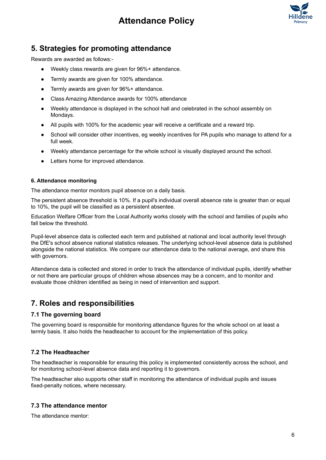

## **5. Strategies for promoting attendance**

Rewards are awarded as follows:-

- Weekly class rewards are given for 96%+ attendance.
- Termly awards are given for 100% attendance.
- Termly awards are given for 96%+ attendance.
- Class Amazing Attendance awards for 100% attendance
- Weekly attendance is displayed in the school hall and celebrated in the school assembly on Mondays.
- All pupils with 100% for the academic year will receive a certificate and a reward trip.
- School will consider other incentives, eg weekly incentives for PA pupils who manage to attend for a full week.
- <span id="page-5-0"></span>● Weekly attendance percentage for the whole school is visually displayed around the school.
- Letters home for improved attendance.

#### **6. Attendance monitoring**

The attendance mentor monitors pupil absence on a daily basis.

The persistent absence threshold is 10%. If a pupil's individual overall absence rate is greater than or equal to 10%, the pupil will be classified as a persistent absentee.

Education Welfare Officer from the Local Authority works closely with the school and families of pupils who fall below the threshold.

Pupil-level absence data is collected each term and published at national and local authority level through the DfE's school absence national statistics releases. The underlying school-level absence data is published alongside the national statistics. We compare our attendance data to the national average, and share this with governors.

<span id="page-5-1"></span>Attendance data is collected and stored in order to track the attendance of individual pupils, identify whether or not there are particular groups of children whose absences may be a concern, and to monitor and evaluate those children identified as being in need of intervention and support.

## **7. Roles and responsibilities**

#### **7.1 The governing board**

The governing board is responsible for monitoring attendance figures for the whole school on at least a termly basis. It also holds the headteacher to account for the implementation of this policy.

#### **7.2 The Headteacher**

The headteacher is responsible for ensuring this policy is implemented consistently across the school, and for monitoring school-level absence data and reporting it to governors.

The headteacher also supports other staff in monitoring the attendance of individual pupils and issues fixed-penalty notices, where necessary.

#### **7.3 The attendance mentor**

The attendance mentor: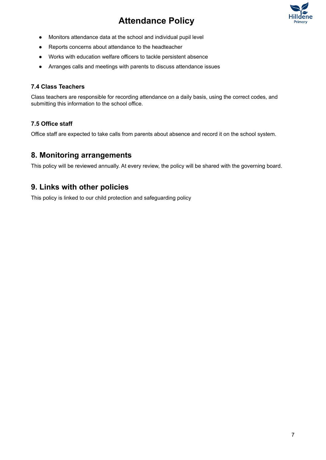



- Monitors attendance data at the school and individual pupil level
- Reports concerns about attendance to the headteacher
- Works with education welfare officers to tackle persistent absence
- Arranges calls and meetings with parents to discuss attendance issues

#### **7.4 Class Teachers**

Class teachers are responsible for recording attendance on a daily basis, using the correct codes, and submitting this information to the school office.

#### **7.5 Office staff**

<span id="page-6-0"></span>Office staff are expected to take calls from parents about absence and record it on the school system.

## **8. Monitoring arrangements**

<span id="page-6-1"></span>This policy will be reviewed annually. At every review, the policy will be shared with the governing board.

## **9. Links with other policies**

This policy is linked to our child protection and safeguarding policy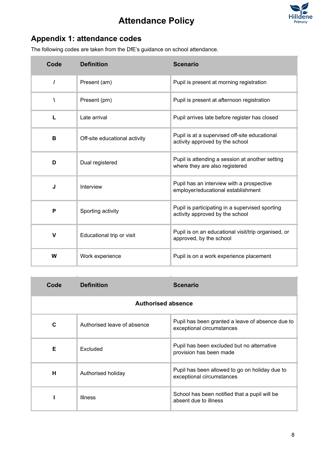

# <span id="page-7-0"></span>**Appendix 1: attendance codes**

The following codes are taken from the DfE's guidance on school attendance.

| Code        | <b>Definition</b>             | <b>Scenario</b>                                                                    |
|-------------|-------------------------------|------------------------------------------------------------------------------------|
| $\prime$    | Present (am)                  | Pupil is present at morning registration                                           |
| Λ           | Present (pm)                  | Pupil is present at afternoon registration                                         |
| L           | Late arrival                  | Pupil arrives late before register has closed                                      |
| B           | Off-site educational activity | Pupil is at a supervised off-site educational<br>activity approved by the school   |
| D           | Dual registered               | Pupil is attending a session at another setting<br>where they are also registered  |
| J           | Interview                     | Pupil has an interview with a prospective<br>employer/educational establishment    |
| P           | Sporting activity             | Pupil is participating in a supervised sporting<br>activity approved by the school |
| $\mathbf v$ | Educational trip or visit     | Pupil is on an educational visit/trip organised, or<br>approved, by the school     |
| W           | Work experience               | Pupil is on a work experience placement                                            |

| Code                      | <b>Definition</b>           | <b>Scenario</b>                                                               |  |
|---------------------------|-----------------------------|-------------------------------------------------------------------------------|--|
| <b>Authorised absence</b> |                             |                                                                               |  |
| C                         | Authorised leave of absence | Pupil has been granted a leave of absence due to<br>exceptional circumstances |  |
| Е                         | Excluded                    | Pupil has been excluded but no alternative<br>provision has been made         |  |
| н                         | Authorised holiday          | Pupil has been allowed to go on holiday due to<br>exceptional circumstances   |  |
|                           | <b>Illness</b>              | School has been notified that a pupil will be<br>absent due to illness        |  |